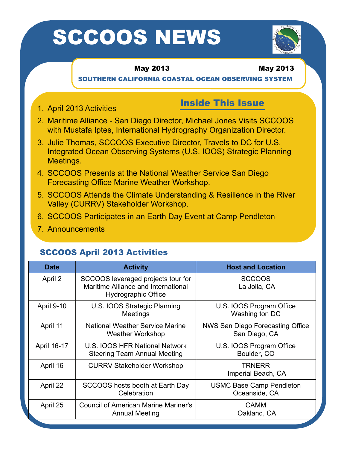# SCCOOS NEWS



## May 2013 May 2013

SOUTHERN CALIFORNIA COASTAL OCEAN OBSERVING SYSTEM

# Inside This Issue 1. April 2013 Activities

- 2. Maritime Alliance San Diego Director, Michael Jones Visits SCCOOS with Mustafa Iptes, International Hydrography Organization Director.
- 3. Julie Thomas, SCCOOS Executive Director, Travels to DC for U.S. Integrated Ocean Observing Systems (U.S. IOOS) Strategic Planning Meetings.
- 4. SCCOOS Presents at the National Weather Service San Diego Forecasting Office Marine Weather Workshop.
- 5. SCCOOS Attends the Climate Understanding & Resilience in the River Valley (CURRV) Stakeholder Workshop.
- 6. SCCOOS Participates in an Earth Day Event at Camp Pendleton
- 7. Announcements

# SCCOOS April 2013 Activities

| <b>Date</b> | <b>Activity</b>                                                                                  | <b>Host and Location</b>                          |
|-------------|--------------------------------------------------------------------------------------------------|---------------------------------------------------|
| April 2     | SCCOOS leveraged projects tour for<br>Maritime Alliance and International<br>Hydrographic Office | <b>SCCOOS</b><br>La Jolla, CA                     |
| April 9-10  | U.S. IOOS Strategic Planning<br>Meetings                                                         | U.S. IOOS Program Office<br>Washing ton DC        |
| April 11    | <b>National Weather Service Marine</b><br><b>Weather Workshop</b>                                | NWS San Diego Forecasting Office<br>San Diego, CA |
| April 16-17 | U.S. IOOS HFR National Network<br><b>Steering Team Annual Meeting</b>                            | U.S. IOOS Program Office<br>Boulder, CO           |
| April 16    | <b>CURRV Stakeholder Workshop</b>                                                                | <b>TRNERR</b><br>Imperial Beach, CA               |
| April 22    | SCCOOS hosts booth at Earth Day<br>Celebration                                                   | <b>USMC Base Camp Pendleton</b><br>Oceanside, CA  |
| April 25    | <b>Council of American Marine Mariner's</b><br><b>Annual Meeting</b>                             | <b>CAMM</b><br>Oakland, CA                        |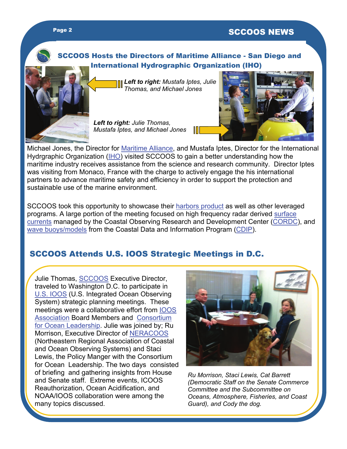# SCCOOS Hosts the Directors of Maritime Alliance - San Diego and International Hydrographic Organization (IHO)



*Left to right: Mustafa Iptes, Julie Thomas, and Michael Jones* 

*Left to right: Julie Thomas, Mustafa Iptes, and Michael Jones* 



Michael Jones, the Director for **Maritime Alliance**, and Mustafa Iptes, Director for the International Hydrgraphic Organization [\(IHO](http://www.iho.int/srv1/)) visited SCCOOS to gain a better understanding how the maritime industry receives assistance from the science and research community. Director Iptes was visiting from Monaco, France with the charge to actively engage the his international partners to advance maritime safety and efficiency in order to support the protection and sustainable use of the marine environment.

SCCOOS took this opportunity to showcase their [harbors product](http://www.sccoos.org/data/harbors/lalb/index.php) as well as other leveraged programs. A large portion of the meeting focused on high frequency radar derived [surface](http://cordc.ucsd.edu/projects/mapping/)  [currents](http://cordc.ucsd.edu/projects/mapping/) managed by the Coastal Observing Research and Development Center (CORDC), and [wave buoys/models](http://cdip.ucsd.edu/themes/) from the Coastal Data and Information Program (CDIP).

# SCCOOS Attends U.S. IOOS Strategic Meetings in D.C.

Julie Thomas, **SCCOOS** Executive Director, traveled to Washington D.C. to participate in [U.S. IOOS](http://www.ioos.noaa.gov/) (U.S. Integrated Ocean Observing System) strategic planning meetings. These meetings were a collaborative effort from [IOOS](http://www.ioosassociation.org/)  [Association](http://www.ioosassociation.org/) Board Members and [Consortium](http://www.oceanleadership.org/)  [for Ocean Leadership](http://www.oceanleadership.org/). Julie was joined by; Ru Morrison, Executive Director of [NERACOOS](http://www.neracoos.org/) (Northeastern Regional Association of Coastal and Ocean Observing Systems) and Staci Lewis, the Policy Manger with the Consortium for Ocean Leadership. The two days consisted of briefing and gathering insights from House and Senate staff. Extreme events, ICOOS Reauthorization, Ocean Acidification, and NOAA/IOOS collaboration were among the many topics discussed.



*Ru Morrison, Staci Lewis, Cat Barrett (Democratic Staff on the Senate Commerce Committee and the Subcommittee on Oceans, Atmosphere, Fisheries, and Coast Guard), and Cody the dog.*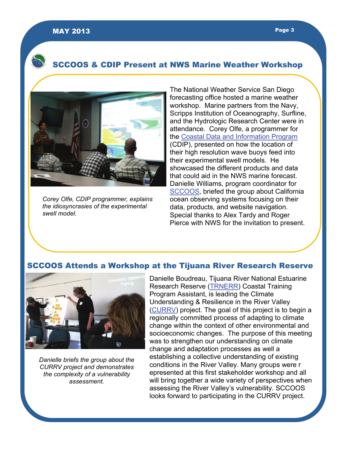# SCCOOS & CDIP Present at NWS Marine Weather Workshop



*Corey Olfe, CDIP programmer, explains the idiosyncrasies of the experimental swell model.* 

The National Weather Service San Diego forecasting office hosted a marine weather workshop. Marine partners from the Navy, Scripps Institution of Oceanography, Surfline, and the Hydrologic Research Center were in attendance. Corey Olfe, a programmer for the [Coastal Data and Information Program](http://cdip.ucsd.edu/) (CDIP), presented on how the location of their high resolution wave buoys feed into their experimental swell models. He showcased the different products and data that could aid in the NWS marine forecast. Danielle Williams, program coordinator for [SCCOOS,](http://sccoos.org/interactive-map/) briefed the group about California ocean observing systems focusing on their data, products, and website navigation. Special thanks to Alex Tardy and Roger Pierce with NWS for the invitation to present.

#### SCCOOS Attends a Workshop at the Tijuana River Research Reserve



*Danielle briefs the group about the CURRV project and demonstrates the complexity of a vulnerability assessment.* 

Danielle Boudreau, Tijuana River National Estuarine Research Reserve [\(TRNERR](http://trnerr.org/)) Coastal Training Program Assistant, is leading the Climate Understanding & Resilience in the River Valley ([CURRV](http://trnerr.org/wp-content/uploads/2013/02/infoflyer_final.pdf)) project. The goal of this project is to begin a regionally committed process of adapting to climate change within the context of other environmental and socioeconomic changes. The purpose of this meeting was to strengthen our understanding on climate change and adaptation processes as well a establishing a collective understanding of existing conditions in the River Valley. Many groups were r epresented at this first stakeholder workshop and all will bring together a wide variety of perspectives when assessing the River Valley's vulnerability. SCCOOS looks forward to participating in the CURRV project.